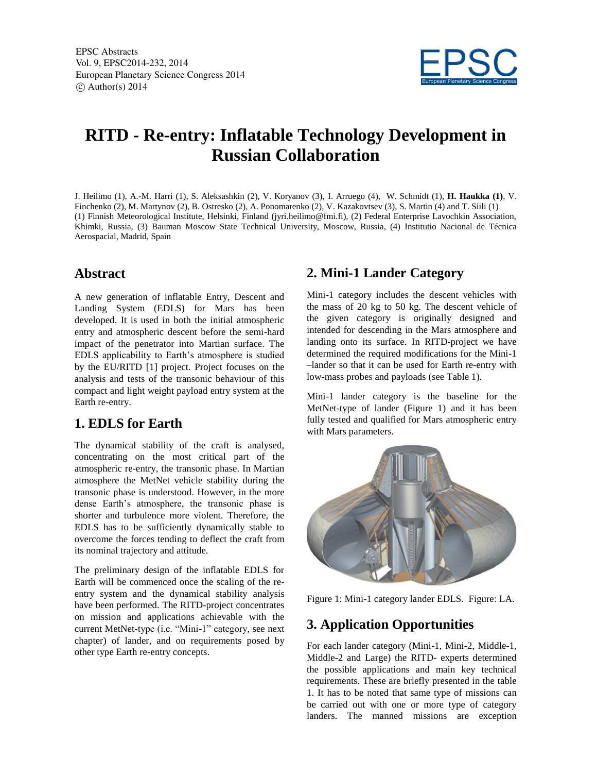EPSC Abstracts Vol. 9, EPSC2014-232, 2014 European Planetary Science Congress 2014  $\circ$  Author(s) 2014



# **RITD - Re-entry: Inflatable Technology Development in Russian Collaboration**

J. Heilimo (1), A.-M. Harri (1), S. Aleksashkin (2), V. Koryanov (3), I. Arruego (4), W. Schmidt (1), **H. Haukka (1)**, V. Finchenko (2), M. Martynov (2), B. Ostresko (2), A. Ponomarenko (2), V. Kazakovtsev (3), S. Martin (4) and T. Siili (1) (1) Finnish Meteorological Institute, Helsinki, Finland (jyri.heilimo@fmi.fi), (2) Federal Enterprise Lavochkin Association, Khimki, Russia, (3) Bauman Moscow State Technical University, Moscow, Russia, (4) Institutio Nacional de Técnica Aerospacial, Madrid, Spain

### **Abstract**

A new generation of inflatable Entry, Descent and Landing System (EDLS) for Mars has been developed. It is used in both the initial atmospheric entry and atmospheric descent before the semi-hard impact of the penetrator into Martian surface. The EDLS applicability to Earth's atmosphere is studied by the EU/RITD [1] project. Project focuses on the analysis and tests of the transonic behaviour of this compact and light weight payload entry system at the Earth re-entry.

### **1. EDLS for Earth**

The dynamical stability of the craft is analysed, concentrating on the most critical part of the atmospheric re-entry, the transonic phase. In Martian atmosphere the MetNet vehicle stability during the transonic phase is understood. However, in the more dense Earth's atmosphere, the transonic phase is shorter and turbulence more violent. Therefore, the EDLS has to be sufficiently dynamically stable to overcome the forces tending to deflect the craft from its nominal trajectory and attitude.

The preliminary design of the inflatable EDLS for Earth will be commenced once the scaling of the reentry system and the dynamical stability analysis have been performed. The RITD-project concentrates on mission and applications achievable with the current MetNet-type (i.e. "Mini-1" category, see next chapter) of lander, and on requirements posed by other type Earth re-entry concepts.

## **2. Mini-1 Lander Category**

Mini-1 category includes the descent vehicles with the mass of 20 kg to 50 kg. The descent vehicle of the given category is originally designed and intended for descending in the Mars atmosphere and landing onto its surface. In RITD-project we have determined the required modifications for the Mini-1 –lander so that it can be used for Earth re-entry with low-mass probes and payloads (see Table 1).

Mini-1 lander category is the baseline for the MetNet-type of lander (Figure 1) and it has been fully tested and qualified for Mars atmospheric entry with Mars parameters.



Figure 1: Mini-1 category lander EDLS. Figure: LA.

# **3. Application Opportunities**

For each lander category (Mini-1, Mini-2, Middle-1, Middle-2 and Large) the RITD- experts determined the possible applications and main key technical requirements. These are briefly presented in the table 1. It has to be noted that same type of missions can be carried out with one or more type of category landers. The manned missions are exception